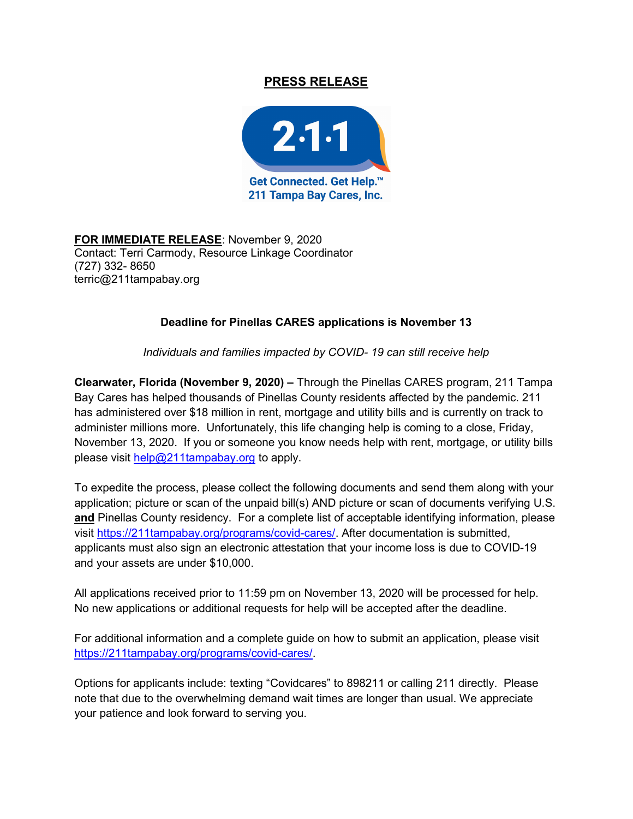## PRESS RELEASE



FOR IMMEDIATE RELEASE: November 9, 2020 Contact: Terri Carmody, Resource Linkage Coordinator (727) 332- 8650 terric@211tampabay.org

## Deadline for Pinellas CARES applications is November 13

Individuals and families impacted by COVID- 19 can still receive help

Clearwater, Florida (November 9, 2020) – Through the Pinellas CARES program, 211 Tampa Bay Cares has helped thousands of Pinellas County residents affected by the pandemic. 211 has administered over \$18 million in rent, mortgage and utility bills and is currently on track to administer millions more. Unfortunately, this life changing help is coming to a close, Friday, November 13, 2020. If you or someone you know needs help with rent, mortgage, or utility bills please visit help@211tampabay.org to apply.

To expedite the process, please collect the following documents and send them along with your application; picture or scan of the unpaid bill(s) AND picture or scan of documents verifying U.S. and Pinellas County residency. For a complete list of acceptable identifying information, please visit https://211tampabay.org/programs/covid-cares/. After documentation is submitted, applicants must also sign an electronic attestation that your income loss is due to COVID-19 and your assets are under \$10,000.

All applications received prior to 11:59 pm on November 13, 2020 will be processed for help. No new applications or additional requests for help will be accepted after the deadline.

For additional information and a complete guide on how to submit an application, please visit https://211tampabay.org/programs/covid-cares/.

Options for applicants include: texting "Covidcares" to 898211 or calling 211 directly. Please note that due to the overwhelming demand wait times are longer than usual. We appreciate your patience and look forward to serving you.